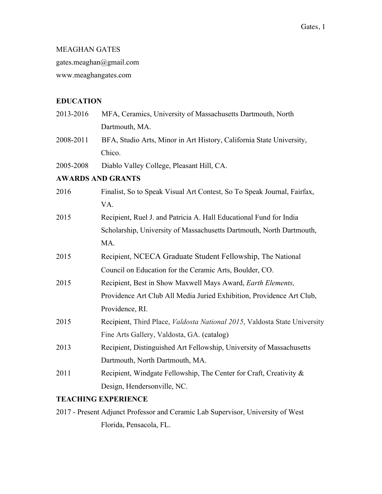# MEAGHAN GATES

gates.meaghan@gmail.com

www.meaghangates.com

# **EDUCATION**

| 2013-2016 | MFA, Ceramics, University of Massachusetts Dartmouth, North               |  |  |  |  |
|-----------|---------------------------------------------------------------------------|--|--|--|--|
|           | Dartmouth, MA.                                                            |  |  |  |  |
| 2008-2011 | BFA, Studio Arts, Minor in Art History, California State University,      |  |  |  |  |
|           | Chico.                                                                    |  |  |  |  |
| 2005-2008 | Diablo Valley College, Pleasant Hill, CA.                                 |  |  |  |  |
|           | <b>AWARDS AND GRANTS</b>                                                  |  |  |  |  |
| 2016      | Finalist, So to Speak Visual Art Contest, So To Speak Journal, Fairfax,   |  |  |  |  |
|           | VA.                                                                       |  |  |  |  |
| 2015      | Recipient, Ruel J. and Patricia A. Hall Educational Fund for India        |  |  |  |  |
|           | Scholarship, University of Massachusetts Dartmouth, North Dartmouth,      |  |  |  |  |
|           | MA.                                                                       |  |  |  |  |
| 2015      | Recipient, NCECA Graduate Student Fellowship, The National                |  |  |  |  |
|           | Council on Education for the Ceramic Arts, Boulder, CO.                   |  |  |  |  |
| 2015      | Recipient, Best in Show Maxwell Mays Award, Earth Elements,               |  |  |  |  |
|           | Providence Art Club All Media Juried Exhibition, Providence Art Club,     |  |  |  |  |
|           | Providence, RI.                                                           |  |  |  |  |
| 2015      | Recipient, Third Place, Valdosta National 2015, Valdosta State University |  |  |  |  |
|           | Fine Arts Gallery, Valdosta, GA. (catalog)                                |  |  |  |  |
| 2013      | Recipient, Distinguished Art Fellowship, University of Massachusetts      |  |  |  |  |
|           | Dartmouth, North Dartmouth, MA.                                           |  |  |  |  |
| 2011      | Recipient, Windgate Fellowship, The Center for Craft, Creativity &        |  |  |  |  |
|           | Design, Hendersonville, NC.                                               |  |  |  |  |
|           |                                                                           |  |  |  |  |

### **TEACHING EXPERIENCE**

2017 - Present Adjunct Professor and Ceramic Lab Supervisor, University of West Florida, Pensacola, FL.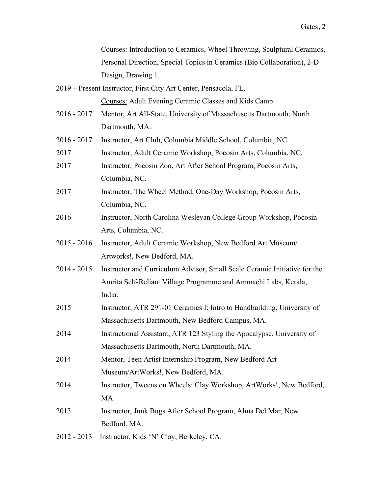Courses: Introduction to Ceramics, Wheel Throwing, Sculptural Ceramics, Personal Direction, Special Topics in Ceramics (Bio Collaboration), 2-D Design, Drawing 1.

2019 – Present Instructor, First City Art Center, Pensacola, FL.

Courses: Adult Evening Ceramic Classes and Kids Camp

- 2016 2017 Mentor, Art All-State, University of Massachusetts Dartmouth, North Dartmouth, MA.
- 2016 2017 Instructor, Art Club, Columbia Middle School, Columbia, NC.
- 2017 Instructor, Adult Ceramic Workshop, Pocosin Arts, Columbia, NC.
- 2017 Instructor, Pocosin Zoo, Art After School Program, Pocosin Arts, Columbia, NC.
- 2017 Instructor, The Wheel Method, One-Day Workshop, Pocosin Arts, Columbia, NC.
- 2016 Instructor, North Carolina Wesleyan College Group Workshop, Pocosin Arts, Columbia, NC.
- 2015 2016 Instructor, Adult Ceramic Workshop, New Bedford Art Museum/ Artworks!, New Bedford, MA.
- 2014 2015 Instructor and Curriculum Advisor, Small Scale Ceramic Initiative for the Amrita Self-Reliant Village Programme and Ammachi Labs, Kerala, India.
- 2015 Instructor, ATR 291-01 Ceramics I: Intro to Handbuilding, University of Massachusetts Dartmouth, New Bedford Campus, MA.
- 2014 Instructional Assistant, ATR 123 Styling the Apocalypse, University of Massachusetts Dartmouth, North Dartmouth, MA.
- 2014 Mentor, Teen Artist Internship Program, New Bedford Art Museum/ArtWorks!, New Bedford, MA.
- 2014 Instructor, Tweens on Wheels: Clay Workshop, ArtWorks!, New Bedford, MA.
- 2013 Instructor, Junk Bugs After School Program, Alma Del Mar, New Bedford, MA.
- 2012 2013 Instructor, Kids 'N' Clay, Berkeley, CA.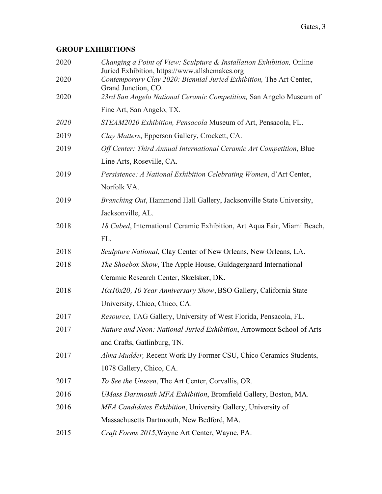# **GROUP EXHIBITIONS**

| Changing a Point of View: Sculpture & Installation Exhibition, Online<br>Juried Exhibition, https://www.allshemakes.org |
|-------------------------------------------------------------------------------------------------------------------------|
| Contemporary Clay 2020: Biennial Juried Exhibition, The Art Center,<br>Grand Junction, CO.                              |
| 23rd San Angelo National Ceramic Competition, San Angelo Museum of                                                      |
| Fine Art, San Angelo, TX.                                                                                               |
| STEAM2020 Exhibition, Pensacola Museum of Art, Pensacola, FL.                                                           |
| Clay Matters, Epperson Gallery, Crockett, CA.                                                                           |
| Off Center: Third Annual International Ceramic Art Competition, Blue                                                    |
| Line Arts, Roseville, CA.                                                                                               |
| Persistence: A National Exhibition Celebrating Women, d'Art Center,                                                     |
| Norfolk VA.                                                                                                             |
| Branching Out, Hammond Hall Gallery, Jacksonville State University,                                                     |
| Jacksonville, AL.                                                                                                       |
| 18 Cubed, International Ceramic Exhibition, Art Aqua Fair, Miami Beach,                                                 |
| FL.                                                                                                                     |
| Sculpture National, Clay Center of New Orleans, New Orleans, LA.                                                        |
| The Shoebox Show, The Apple House, Guldagergaard International                                                          |
| Ceramic Research Center, Skælskør, DK.                                                                                  |
| 10x10x20, 10 Year Anniversary Show, BSO Gallery, California State                                                       |
| University, Chico, Chico, CA.                                                                                           |
| Resource, TAG Gallery, University of West Florida, Pensacola, FL.                                                       |
| Nature and Neon: National Juried Exhibition, Arrowmont School of Arts                                                   |
| and Crafts, Gatlinburg, TN.                                                                                             |
| Alma Mudder, Recent Work By Former CSU, Chico Ceramics Students,                                                        |
| 1078 Gallery, Chico, CA.                                                                                                |
| To See the Unseen, The Art Center, Corvallis, OR.                                                                       |
| UMass Dartmouth MFA Exhibition, Bromfield Gallery, Boston, MA.                                                          |
| MFA Candidates Exhibition, University Gallery, University of                                                            |
| Massachusetts Dartmouth, New Bedford, MA.                                                                               |
| Craft Forms 2015, Wayne Art Center, Wayne, PA.                                                                          |
|                                                                                                                         |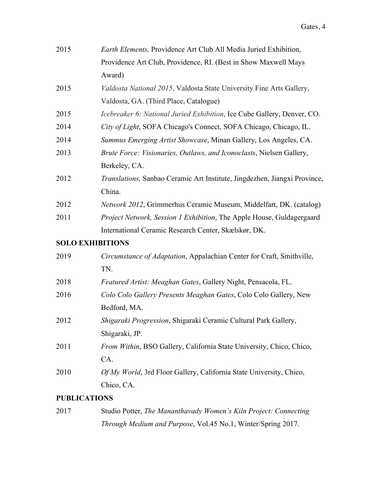| Earth Elements, Providence Art Club All Media Juried Exhibition,          |
|---------------------------------------------------------------------------|
| Providence Art Club, Providence, RI. (Best in Show Maxwell Mays           |
| Award)                                                                    |
| Valdosta National 2015, Valdosta State University Fine Arts Gallery,      |
| Valdosta, GA. (Third Place, Catalogue)                                    |
| Icebreaker 6: National Juried Exhibition, Ice Cube Gallery, Denver, CO.   |
| City of Light, SOFA Chicago's Connect, SOFA Chicago, Chicago, IL.         |
| Summus Emerging Artist Showcase, Minan Gallery, Los Angeles, CA.          |
| Brute Force: Visionaries, Outlaws, and Iconoclasts, Nielsen Gallery,      |
| Berkeley, CA.                                                             |
| Translations, Sanbao Ceramic Art Institute, Jingdezhen, Jiangxi Province, |
| China.                                                                    |
| Network 2012, Grimmerhus Ceramic Museum, Middelfart, DK. (catalog)        |
| Project Network, Session 1 Exhibition, The Apple House, Guldagergaard     |
| International Ceramic Research Center, Skælskør, DK.                      |
| <b>SOLO EXHIBITIONS</b>                                                   |
| Circumstance of Adaptation, Appalachian Center for Craft, Smithville,     |
| TN.                                                                       |
| Featured Artist: Meaghan Gates, Gallery Night, Pensacola, FL.             |
| Colo Colo Gallery Presents Meaghan Gates, Colo Colo Gallery, New          |
| Bedford, MA.                                                              |
| Shigaraki Progression, Shigaraki Ceramic Cultural Park Gallery,           |
| Shigaraki, JP.                                                            |
| From Within, BSO Gallery, California State University, Chico, Chico,      |
| CA.                                                                       |
| Of My World, 3rd Floor Gallery, California State University, Chico,       |
| Chico, CA.                                                                |
|                                                                           |

### **PUBLICATIONS**

| 2017 | Studio Potter, The Mananthavady Women's Kiln Project: Connecting    |
|------|---------------------------------------------------------------------|
|      | <i>Through Medium and Purpose, Vol.45 No.1, Winter/Spring 2017.</i> |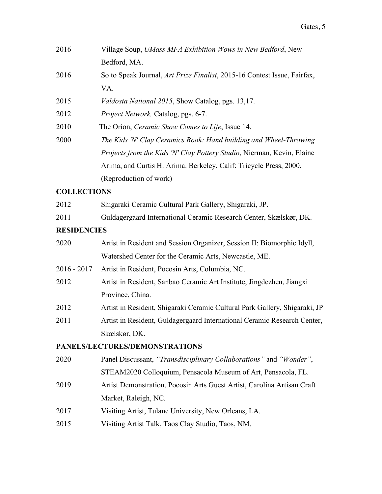| 2016 | Village Soup, UMass MFA Exhibition Wows in New Bedford, New                      |
|------|----------------------------------------------------------------------------------|
|      | Bedford, MA.                                                                     |
| 2016 | So to Speak Journal, <i>Art Prize Finalist</i> , 2015-16 Contest Issue, Fairfax, |
|      | VA.                                                                              |
| 2015 | <i>Valdosta National 2015</i> , Show Catalog, pgs. 13,17.                        |
| 2012 | <i>Project Network, Catalog, pgs. 6-7.</i>                                       |
| 2010 | The Orion, <i>Ceramic Show Comes to Life</i> , Issue 14.                         |
| 2000 | The Kids 'N' Clay Ceramics Book: Hand building and Wheel-Throwing                |
|      | <i>Projects from the Kids 'N' Clay Pottery Studio, Nierman, Kevin, Elaine</i>    |
|      | Arima, and Curtis H. Arima. Berkeley, Calif: Tricycle Press, 2000.               |
|      | (Reproduction of work)                                                           |
|      |                                                                                  |

#### **COLLECTIONS**

2012 Shigaraki Ceramic Cultural Park Gallery, Shigaraki, JP.

| 2011 | Guldagergaard International Ceramic Research Center, Skælskør, DK. |  |  |  |  |  |  |
|------|--------------------------------------------------------------------|--|--|--|--|--|--|
|------|--------------------------------------------------------------------|--|--|--|--|--|--|

#### **RESIDENCIES**

| 2020 | Artist in Resident and Session Organizer, Session II: Biomorphic Idyll, |
|------|-------------------------------------------------------------------------|
|      | Watershed Center for the Ceramic Arts, Newcastle, ME.                   |

2016 - 2017 Artist in Resident, Pocosin Arts, Columbia, NC.

- 2012 Artist in Resident, Sanbao Ceramic Art Institute, Jingdezhen, Jiangxi Province, China.
- 2012 Artist in Resident, Shigaraki Ceramic Cultural Park Gallery, Shigaraki, JP
- 2011 Artist in Resident, Guldagergaard International Ceramic Research Center, Skælskør, DK.

### **PANELS/LECTURES/DEMONSTRATIONS**

- 2020 Panel Discussant, *"Transdisciplinary Collaborations"* and *"Wonder"*, STEAM2020 Colloquium, Pensacola Museum of Art, Pensacola, FL. 2019 Artist Demonstration, Pocosin Arts Guest Artist, Carolina Artisan Craft Market, Raleigh, NC. 2017 Visiting Artist, Tulane University, New Orleans, LA.
- 2015 Visiting Artist Talk, Taos Clay Studio, Taos, NM.